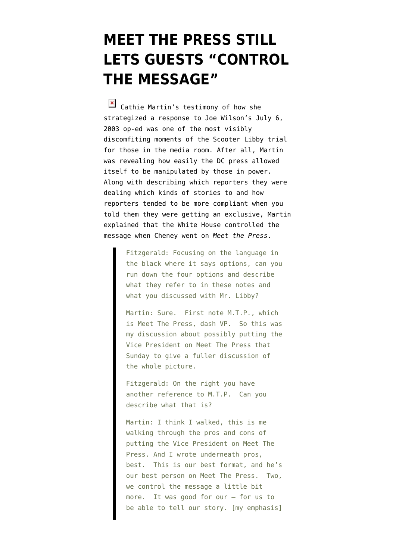## **[MEET THE PRESS STILL](https://www.emptywheel.net/2009/07/17/meet-the-press-still-lets-guest-control-the-message/) [LETS GUESTS "CONTROL](https://www.emptywheel.net/2009/07/17/meet-the-press-still-lets-guest-control-the-message/) [THE MESSAGE"](https://www.emptywheel.net/2009/07/17/meet-the-press-still-lets-guest-control-the-message/)**

Cathie Martin's testimony of how she strategized a response to Joe Wilson's July 6, 2003 op-ed was one of the most visibly discomfiting moments of the Scooter Libby trial for those in the media room. After all, Martin was revealing how easily the DC press allowed itself to be manipulated by those in power. Along with describing which reporters they were dealing which kinds of stories to and how reporters tended to be more compliant when you told them they were getting an exclusive, Martin explained that the White House controlled the message when Cheney went on *Meet the Press*.

> Fitzgerald: Focusing on the language in the black where it says options, can you run down the four options and describe what they refer to in these notes and what you discussed with Mr. Libby?

> Martin: Sure. First note M.T.P., which is Meet The Press, dash VP. So this was my discussion about possibly putting the Vice President on Meet The Press that Sunday to give a fuller discussion of the whole picture.

Fitzgerald: On the right you have another reference to M.T.P. Can you describe what that is?

Martin: I think I walked, this is me walking through the pros and cons of putting the Vice President on Meet The Press. And I wrote underneath pros, best. This is our best format, and he's our best person on Meet The Press. Two, we control the message a little bit more. It was good for our — for us to be able to tell our story. [my emphasis]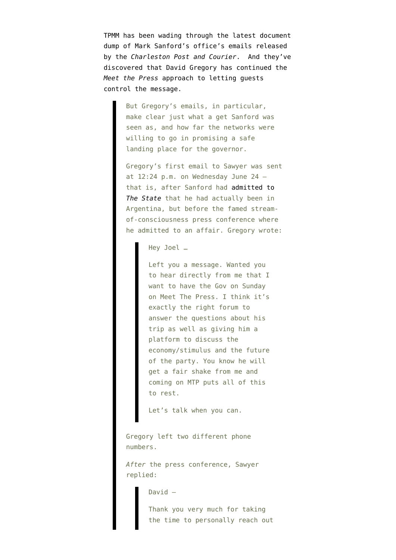TPMM has been [wading through](http://tpmmuckraker.talkingpointsmemo.com/2009/07/nbcs_gregory_to_sanfords_office_meet_the_press_all.php) the latest document dump of Mark Sanford's office's emails released by the *[Charleston Post and Courier](http://media.charleston.net/2009/pdf/govstaffemails_0713009.pdf)*. And they've discovered that David Gregory has continued the *Meet the Press* approach to letting guests control the message.

> But Gregory's emails, in particular, make clear just what a get Sanford was seen as, and how far the networks were willing to go in promising a safe landing place for the governor.

Gregory's first email to Sawyer was sent at 12:24 p.m. on Wednesday June 24 that is, after Sanford had [admitted to](http://www.thestate.com/local/story/838823.html) *[The State](http://www.thestate.com/local/story/838823.html)* that he had actually been in Argentina, but before the famed streamof-consciousness press conference where he admitted to an affair. Gregory wrote:

Hey Joel …

Left you a message. Wanted you to hear directly from me that I want to have the Gov on Sunday on Meet The Press. I think it's exactly the right forum to answer the questions about his trip as well as giving him a platform to discuss the economy/stimulus and the future of the party. You know he will get a fair shake from me and coming on MTP puts all of this to rest.

Let's talk when you can.

Gregory left two different phone numbers.

*After* the press conference, Sawyer replied:

David —

Thank you very much for taking the time to personally reach out